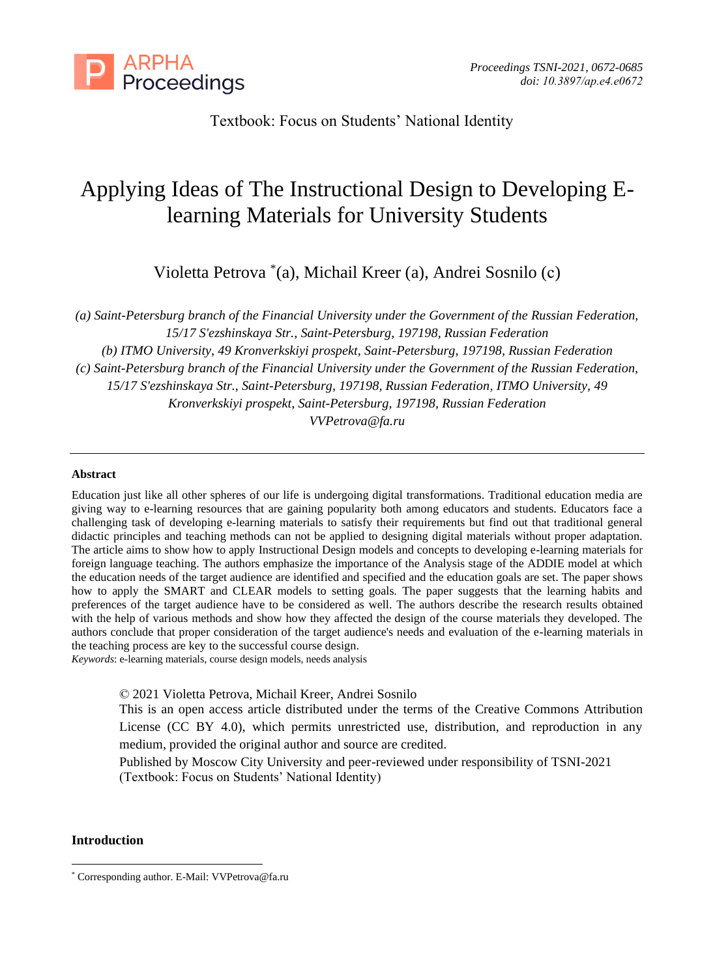

Textbook: Focus on Students' National Identity

# Applying Ideas of The Instructional Design to Developing Elearning Materials for University Students

Violetta Petrova \* (a), Michail Kreer (a), Andrei Sosnilo (с)

*(a) Saint-Petersburg branch of the Financial University under the Government of the Russian Federation, 15/17 S'ezshinskaya Str., Saint-Petersburg, 197198, Russian Federation (b) ITMO University, 49 Kronverkskiyi prospekt, Saint-Petersburg, 197198, Russian Federation (c) Saint-Petersburg branch of the Financial University under the Government of the Russian Federation, 15/17 S'ezshinskaya Str., Saint-Petersburg, 197198, Russian Federation, ITMO University, 49 Kronverkskiyi prospekt, Saint-Petersburg, 197198, Russian Federation [VVPetrova@fa.ru](mailto:VVPetrova@fa.ru)*

#### **Abstract**

Education just like all other spheres of our life is undergoing digital transformations. Traditional education media are giving way to e-learning resources that are gaining popularity both among educators and students. Educators face a challenging task of developing e-learning materials to satisfy their requirements but find out that traditional general didactic principles and teaching methods can not be applied to designing digital materials without proper adaptation. The article aims to show how to apply Instructional Design models and concepts to developing e-learning materials for foreign language teaching. The authors emphasize the importance of the Analysis stage of the ADDIE model at which the education needs of the target audience are identified and specified and the education goals are set. The paper shows how to apply the SMART and CLEAR models to setting goals. The paper suggests that the learning habits and preferences of the target audience have to be considered as well. The authors describe the research results obtained with the help of various methods and show how they affected the design of the course materials they developed. The authors conclude that proper consideration of the target audience's needs and evaluation of the e-learning materials in the teaching process are key to the successful course design.

*Keywords*: e-learning materials, course design models, needs analysis

© 2021 Violetta Petrova, Michail Kreer, Andrei Sosnilo

This is an open access article distributed under the terms of the Creative Commons Attribution License (CC BY 4.0), which permits unrestricted use, distribution, and reproduction in any medium, provided the original author and source are credited.

Published by Moscow City University and peer-reviewed under responsibility of TSNI-2021 (Textbook: Focus on Students' National Identity)

## **Introduction**

<sup>\*</sup> Corresponding author. E-Mail: VVPetrova@fa.ru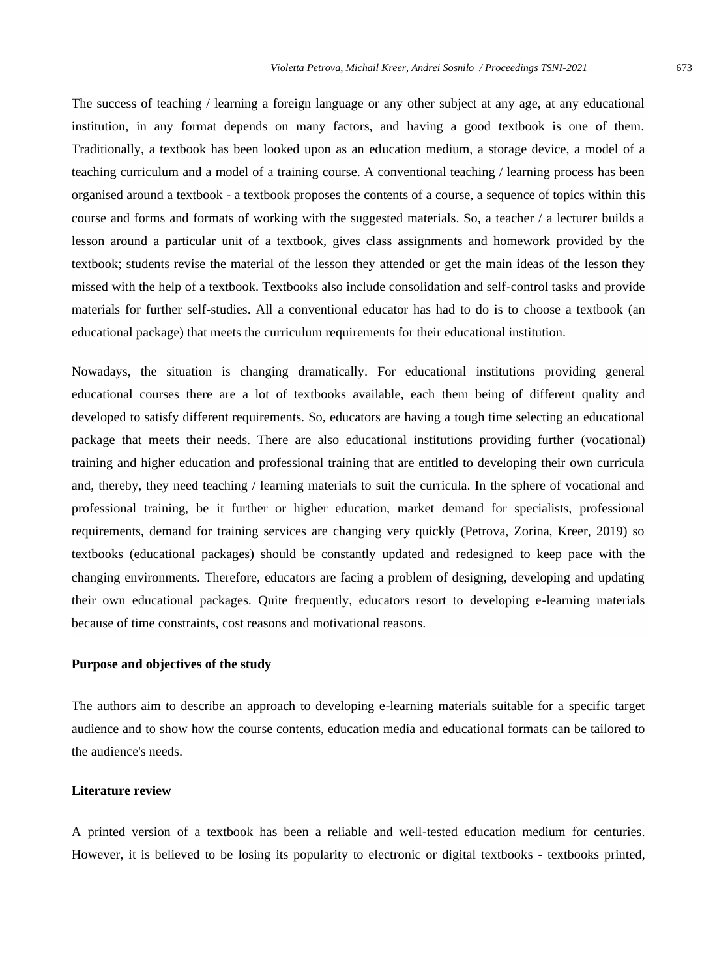The success of teaching / learning a foreign language or any other subject at any age, at any educational institution, in any format depends on many factors, and having a good textbook is one of them. Traditionally, a textbook has been looked upon as an education medium, a storage device, a model of a teaching curriculum and a model of a training course. A conventional teaching / learning process has been organised around a textbook - a textbook proposes the contents of a course, a sequence of topics within this course and forms and formats of working with the suggested materials. So, a teacher / a lecturer builds a lesson around a particular unit of a textbook, gives class assignments and homework provided by the textbook; students revise the material of the lesson they attended or get the main ideas of the lesson they missed with the help of a textbook. Textbooks also include consolidation and self-control tasks and provide materials for further self-studies. All a conventional educator has had to do is to choose a textbook (an educational package) that meets the curriculum requirements for their educational institution.

Nowadays, the situation is changing dramatically. For educational institutions providing general educational courses there are a lot of textbooks available, each them being of different quality and developed to satisfy different requirements. So, educators are having a tough time selecting an educational package that meets their needs. There are also educational institutions providing further (vocational) training and higher education and professional training that are entitled to developing their own curricula and, thereby, they need teaching / learning materials to suit the curricula. In the sphere of vocational and professional training, be it further or higher education, market demand for specialists, professional requirements, demand for training services are changing very quickly (Petrova, Zorina, Kreer, 2019) so textbooks (educational packages) should be constantly updated and redesigned to keep pace with the changing environments. Therefore, educators are facing a problem of designing, developing and updating their own educational packages. Quite frequently, educators resort to developing e-learning materials because of time constraints, cost reasons and motivational reasons.

#### **Purpose and objectives of the study**

The authors aim to describe an approach to developing e-learning materials suitable for a specific target audience and to show how the course contents, education media and educational formats can be tailored to the audience's needs.

### **Literature review**

A printed version of a textbook has been a reliable and well-tested education medium for centuries. However, it is believed to be losing its popularity to electronic or digital textbooks - textbooks printed,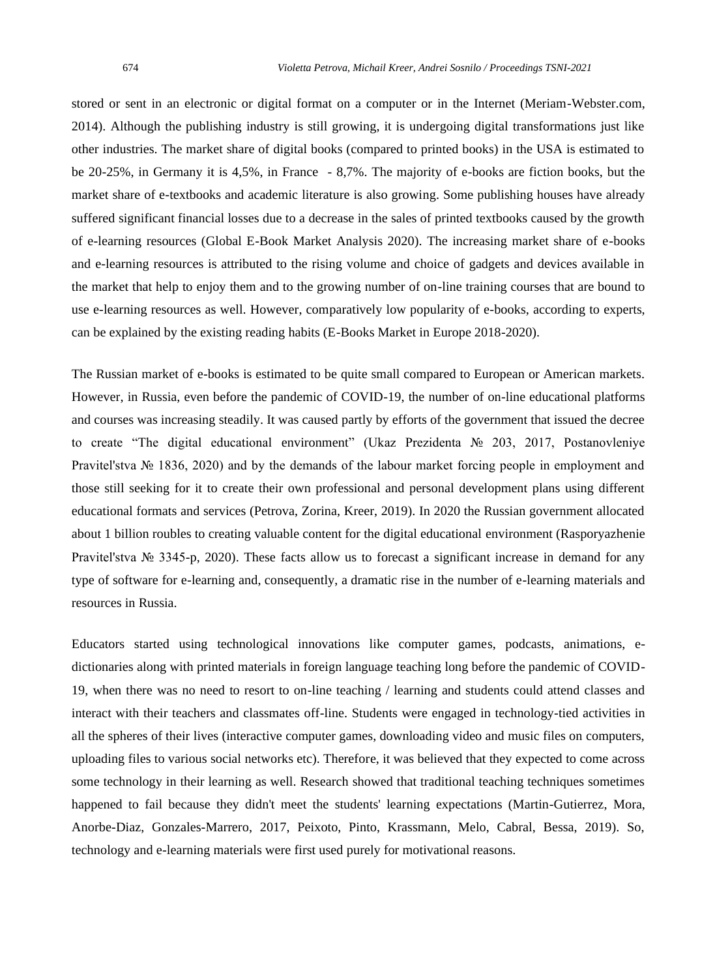stored or sent in an electronic or digital format on a computer or in the Internet (Meriam-Webster.com, 2014). Although the publishing industry is still growing, it is undergoing digital transformations just like other industries. The market share of digital books (compared to printed books) in the USA is estimated to be 20-25%, in Germany it is 4,5%, in France - 8,7%. The majority of e-books are fiction books, but the market share of e-textbooks and academic literature is also growing. Some publishing houses have already suffered significant financial losses due to a decrease in the sales of printed textbooks caused by the growth of e-learning resources (Global E-Book Market Analysis 2020). The increasing market share of e-books and e-learning resources is attributed to the rising volume and choice of gadgets and devices available in the market that help to enjoy them and to the growing number of on-line training courses that are bound to use e-learning resources as well. However, comparatively low popularity of e-books, according to experts, can be explained by the existing reading habits (E-Books Market in Europe 2018-2020).

The Russian market of e-books is estimated to be quite small compared to European or American markets. However, in Russia, even before the pandemic of COVID-19, the number of on-line educational platforms and courses was increasing steadily. It was caused partly by efforts of the government that issued the decree to create "The digital educational environment" (Ukaz Prezidenta № 203, 2017, Postanovleniye Pravitel'stva № 1836, 2020) and by the demands of the labour market forcing people in employment and those still seeking for it to create their own professional and personal development plans using different educational formats and services (Petrova, Zorina, Kreer, 2019). In 2020 the Russian government allocated about 1 billion roubles to creating valuable content for the digital educational environment (Rasporyazhenie Pravitel'stva № 3345-p, 2020). These facts allow us to forecast a significant increase in demand for any type of software for e-learning and, consequently, a dramatic rise in the number of e-learning materials and resources in Russia.

Educators started using technological innovations like computer games, podcasts, animations, edictionaries along with printed materials in foreign language teaching long before the pandemic of COVID-19, when there was no need to resort to on-line teaching / learning and students could attend classes and interact with their teachers and classmates off-line. Students were engaged in technology-tied activities in all the spheres of their lives (interactive computer games, downloading video and music files on computers, uploading files to various social networks etc). Therefore, it was believed that they expected to come across some technology in their learning as well. Research showed that traditional teaching techniques sometimes happened to fail because they didn't meet the students' learning expectations (Martin-Gutierrez, Mora, Anorbe-Diaz, Gonzales-Marrero, 2017, Peixoto, Pinto, Krassmann, Melo, Cabral, Bessa, 2019). So, technology and e-learning materials were first used purely for motivational reasons.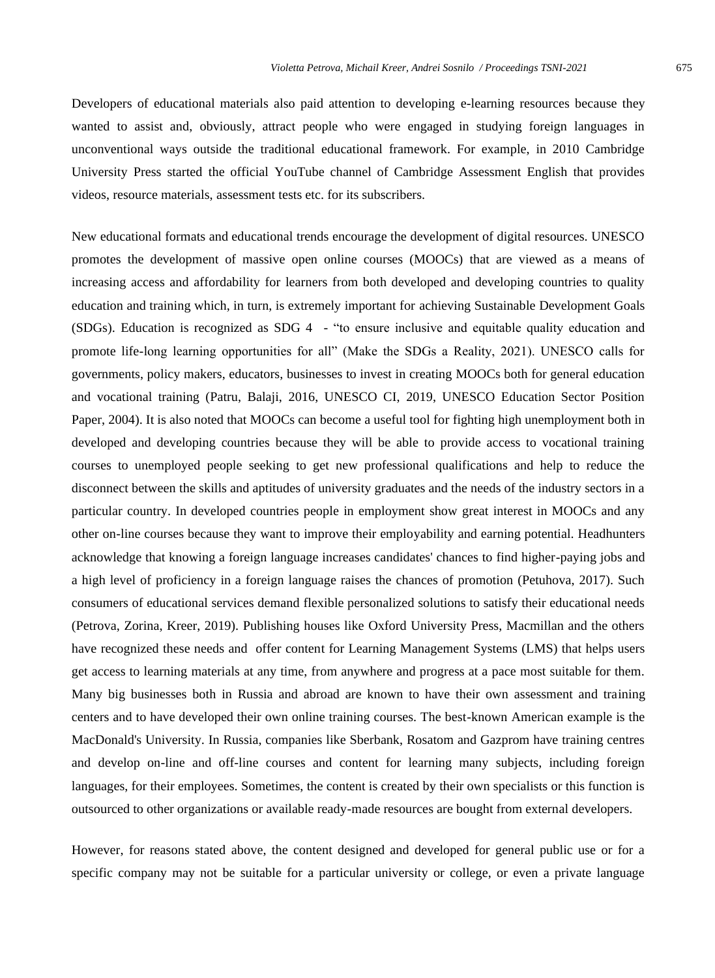Developers of educational materials also paid attention to developing e-learning resources because they wanted to assist and, obviously, attract people who were engaged in studying foreign languages in unconventional ways outside the traditional educational framework. For example, in 2010 Cambridge University Press started the official YouTube channel of Cambridge Assessment English that provides videos, resource materials, assessment tests etc. for its subscribers.

New educational formats and educational trends encourage the development of digital resources. UNESCO promotes the development of massive open online courses (MOOCs) that are viewed as a means of increasing access and affordability for learners from both developed and developing countries to quality education and training which, in turn, is extremely important for achieving Sustainable Development Goals (SDGs). Education is recognized as SDG 4 - "to ensure inclusive and equitable quality education and promote life-long learning opportunities for all" (Make the SDGs a Reality, 2021). UNESCO calls for governments, policy makers, educators, businesses to invest in creating MOOCs both for general education and vocational training (Patru, Balaji, 2016, UNESCO CI, 2019, UNESCO Education Sector Position Paper, 2004). It is also noted that MOOCs can become a useful tool for fighting high unemployment both in developed and developing countries because they will be able to provide access to vocational training courses to unemployed people seeking to get new professional qualifications and help to reduce the disconnect between the skills and aptitudes of university graduates and the needs of the industry sectors in a particular country. In developed countries people in employment show great interest in MOOCs and any other on-line courses because they want to improve their employability and earning potential. Headhunters acknowledge that knowing a foreign language increases candidates' chances to find higher-paying jobs and a high level of proficiency in a foreign language raises the chances of promotion (Petuhova, 2017). Such consumers of educational services demand flexible personalized solutions to satisfy their educational needs (Petrova, Zorina, Kreer, 2019). Publishing houses like Oxford University Press, Macmillan and the others have recognized these needs and offer content for Learning Management Systems (LMS) that helps users get access to learning materials at any time, from anywhere and progress at a pace most suitable for them. Many big businesses both in Russia and abroad are known to have their own assessment and training centers and to have developed their own online training courses. The best-known American example is the MacDonald's University. In Russia, companies like Sberbank, Rosatom and Gazprom have training centres and develop on-line and off-line courses and content for learning many subjects, including foreign languages, for their employees. Sometimes, the content is created by their own specialists or this function is outsourced to other organizations or available ready-made resources are bought from external developers.

However, for reasons stated above, the content designed and developed for general public use or for a specific company may not be suitable for a particular university or college, or even a private language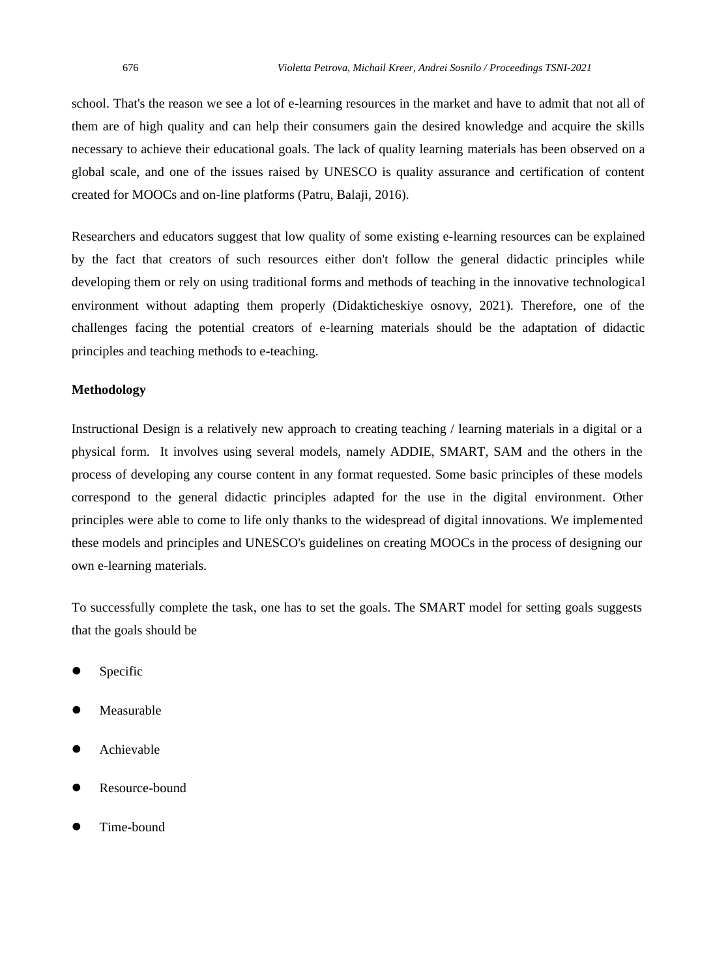school. That's the reason we see a lot of e-learning resources in the market and have to admit that not all of them are of high quality and can help their consumers gain the desired knowledge and acquire the skills necessary to achieve their educational goals. The lack of quality learning materials has been observed on a global scale, and one of the issues raised by UNESCO is quality assurance and certification of content created for MOOCs and on-line platforms (Patru, Balaji, 2016).

Researchers and educators suggest that low quality of some existing e-learning resources can be explained by the fact that creators of such resources either don't follow the general didactic principles while developing them or rely on using traditional forms and methods of teaching in the innovative technological environment without adapting them properly (Didakticheskiye osnovy, 2021). Therefore, one of the challenges facing the potential creators of e-learning materials should be the adaptation of didactic principles and teaching methods to e-teaching.

#### **Methodology**

Instructional Design is a relatively new approach to creating teaching / learning materials in a digital or a physical form. It involves using several models, namely ADDIE, SMART, SAM and the others in the process of developing any course content in any format requested. Some basic principles of these models correspond to the general didactic principles adapted for the use in the digital environment. Other principles were able to come to life only thanks to the widespread of digital innovations. We implemented these models and principles and UNESCO's guidelines on creating MOOCs in the process of designing our own e-learning materials.

To successfully complete the task, one has to set the goals. The SMART model for setting goals suggests that the goals should be

- **Specific**
- **Measurable**
- ⚫ Achievable
- ⚫ Resource-bound
- ⚫ Time-bound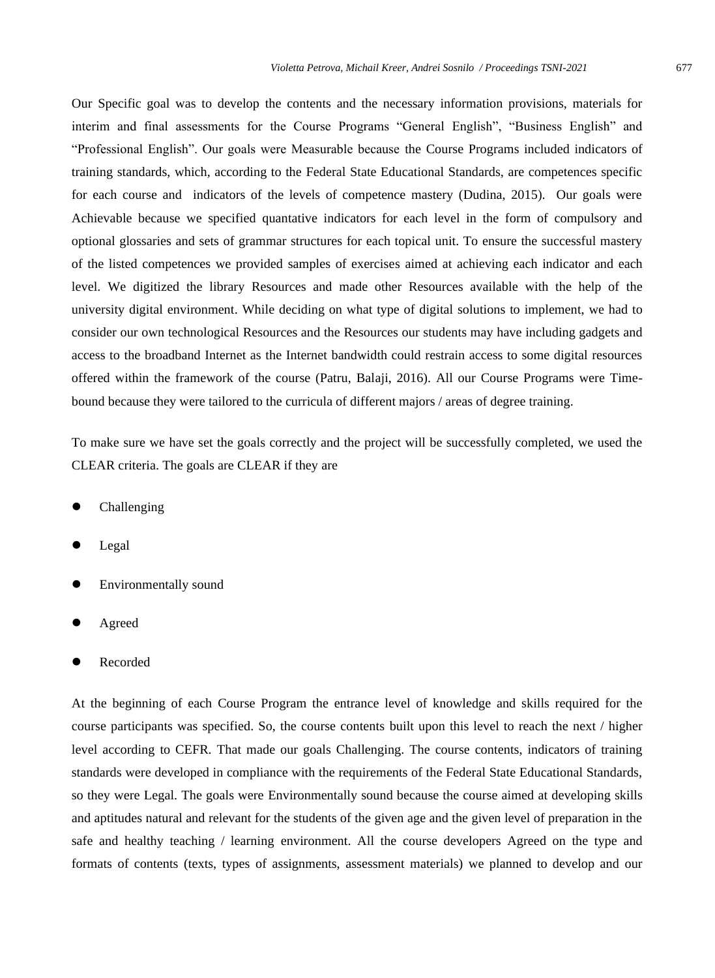Our Specific goal was to develop the contents and the necessary information provisions, materials for interim and final assessments for the Course Programs "General English", "Business English" and "Professional English". Our goals were Measurable because the Course Programs included indicators of training standards, which, according to the Federal State Educational Standards, are competences specific for each course and indicators of the levels of competence mastery (Dudina, 2015). Our goals were Achievable because we specified quantative indicators for each level in the form of compulsory and optional glossaries and sets of grammar structures for each topical unit. To ensure the successful mastery of the listed competences we provided samples of exercises aimed at achieving each indicator and each level. We digitized the library Resources and made other Resources available with the help of the university digital environment. While deciding on what type of digital solutions to implement, we had to consider our own technological Resources and the Resources our students may have including gadgets and access to the broadband Internet as the Internet bandwidth could restrain access to some digital resources offered within the framework of the course (Patru, Balaji, 2016). All our Course Programs were Timebound because they were tailored to the curricula of different majors / areas of degree training.

To make sure we have set the goals correctly and the project will be successfully completed, we used the CLEAR criteria. The goals are CLEAR if they are

- ⚫ Challenging
- ⚫ Legal
- ⚫ Environmentally sound
- **Agreed**
- ⚫ Recorded

At the beginning of each Course Program the entrance level of knowledge and skills required for the course participants was specified. So, the course contents built upon this level to reach the next / higher level according to CEFR. That made our goals Challenging. The course contents, indicators of training standards were developed in compliance with the requirements of the Federal State Educational Standards, so they were Legal. The goals were Environmentally sound because the course aimed at developing skills and aptitudes natural and relevant for the students of the given age and the given level of preparation in the safe and healthy teaching / learning environment. All the course developers Agreed on the type and formats of contents (texts, types of assignments, assessment materials) we planned to develop and our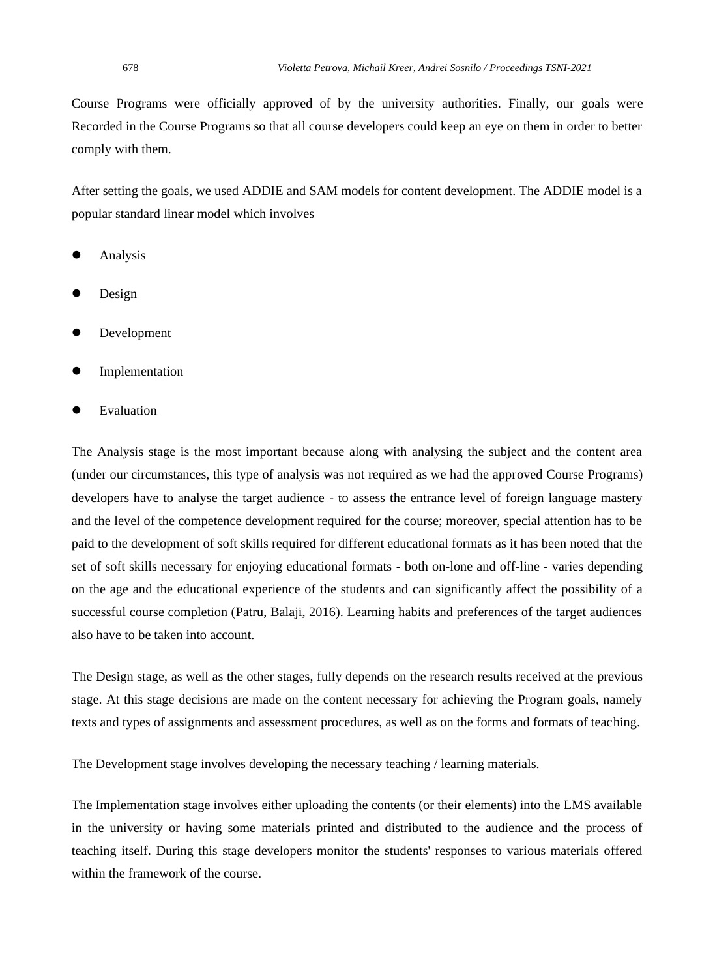Course Programs were officially approved of by the university authorities. Finally, our goals were Recorded in the Course Programs so that all course developers could keep an eye on them in order to better comply with them.

After setting the goals, we used ADDIE and SAM models for content development. The ADDIE model is a popular standard linear model which involves

- **Analysis**
- Design
- ⚫ Development
- ⚫ Implementation
- **Evaluation**

The Analysis stage is the most important because along with analysing the subject and the content area (under our circumstances, this type of analysis was not required as we had the approved Course Programs) developers have to analyse the target audience - to assess the entrance level of foreign language mastery and the level of the competence development required for the course; moreover, special attention has to be paid to the development of soft skills required for different educational formats as it has been noted that the set of soft skills necessary for enjoying educational formats - both on-lone and off-line - varies depending on the age and the educational experience of the students and can significantly affect the possibility of a successful course completion (Patru, Balaji, 2016). Learning habits and preferences of the target audiences also have to be taken into account.

The Design stage, as well as the other stages, fully depends on the research results received at the previous stage. At this stage decisions are made on the content necessary for achieving the Program goals, namely texts and types of assignments and assessment procedures, as well as on the forms and formats of teaching.

The Development stage involves developing the necessary teaching / learning materials.

The Implementation stage involves either uploading the contents (or their elements) into the LMS available in the university or having some materials printed and distributed to the audience and the process of teaching itself. During this stage developers monitor the students' responses to various materials offered within the framework of the course.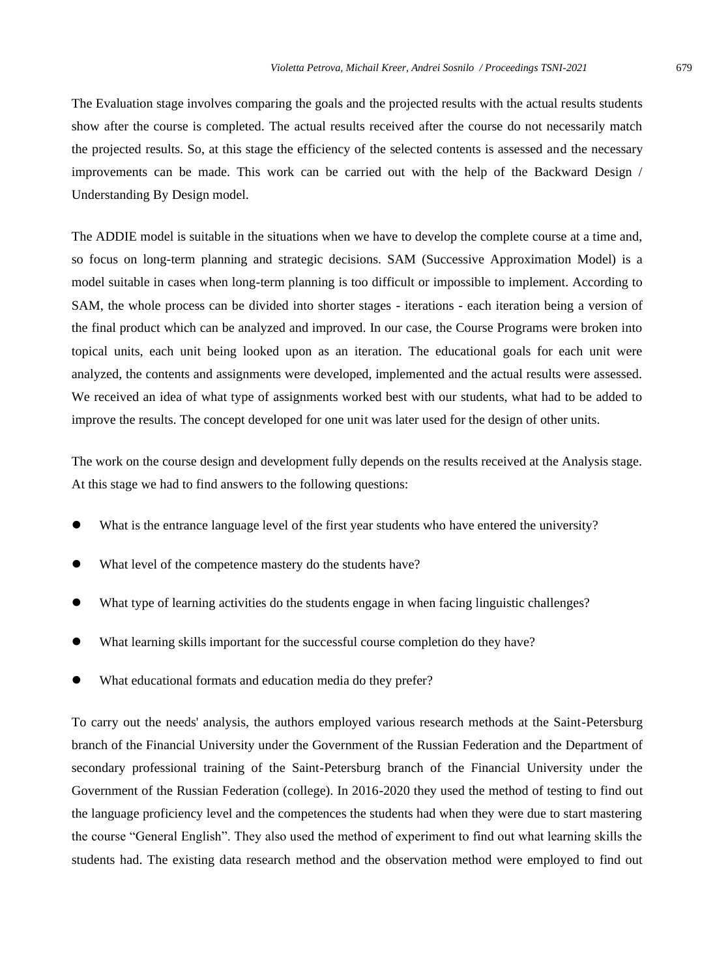The Evaluation stage involves comparing the goals and the projected results with the actual results students show after the course is completed. The actual results received after the course do not necessarily match the projected results. So, at this stage the efficiency of the selected contents is assessed and the necessary improvements can be made. This work can be carried out with the help of the Backward Design / Understanding By Design model.

The ADDIE model is suitable in the situations when we have to develop the complete course at a time and, so focus on long-term planning and strategic decisions. SAM (Successive Approximation Model) is a model suitable in cases when long-term planning is too difficult or impossible to implement. According to SAM, the whole process can be divided into shorter stages - iterations - each iteration being a version of the final product which can be analyzed and improved. In our case, the Course Programs were broken into topical units, each unit being looked upon as an iteration. The educational goals for each unit were analyzed, the contents and assignments were developed, implemented and the actual results were assessed. We received an idea of what type of assignments worked best with our students, what had to be added to improve the results. The concept developed for one unit was later used for the design of other units.

The work on the course design and development fully depends on the results received at the Analysis stage. At this stage we had to find answers to the following questions:

- What is the entrance language level of the first year students who have entered the university?
- What level of the competence mastery do the students have?
- What type of learning activities do the students engage in when facing linguistic challenges?
- What learning skills important for the successful course completion do they have?
- What educational formats and education media do they prefer?

To carry out the needs' analysis, the authors employed various research methods at the Saint-Petersburg branch of the Financial University under the Government of the Russian Federation and the Department of secondary professional training of the Saint-Petersburg branch of the Financial University under the Government of the Russian Federation (college). In 2016-2020 they used the method of testing to find out the language proficiency level and the competences the students had when they were due to start mastering the course "General English". They also used the method of experiment to find out what learning skills the students had. The existing data research method and the observation method were employed to find out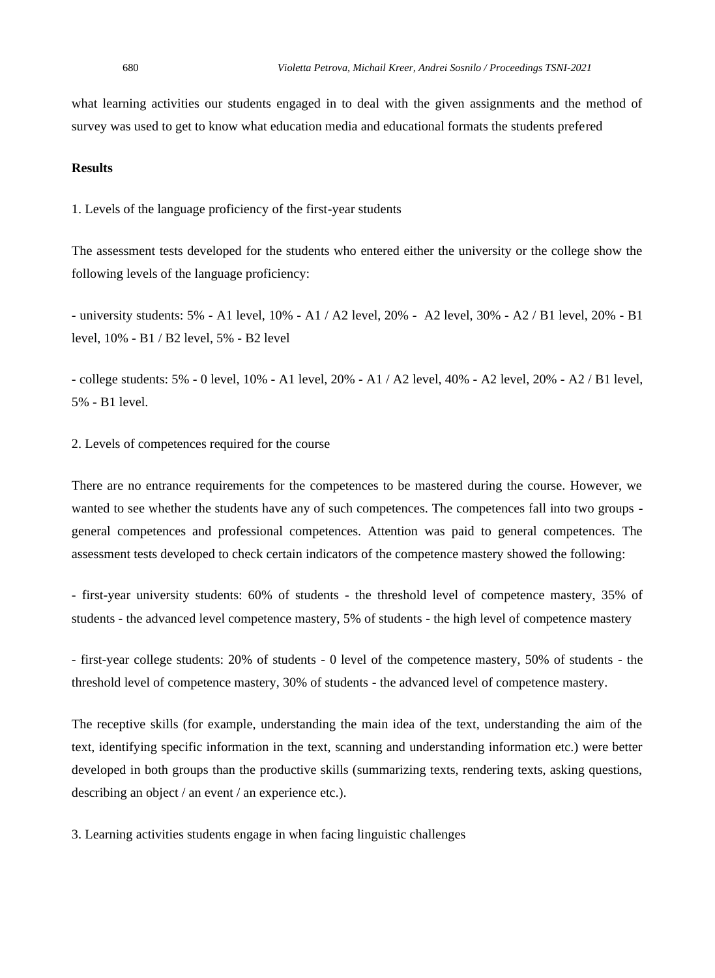what learning activities our students engaged in to deal with the given assignments and the method of survey was used to get to know what education media and educational formats the students prefered

#### **Results**

1. Levels of the language proficiency of the first-year students

The assessment tests developed for the students who entered either the university or the college show the following levels of the language proficiency:

- university students: 5% - A1 level, 10% - A1 / A2 level, 20% - A2 level, 30% - A2 / B1 level, 20% - B1 level, 10% - B1 / B2 level, 5% - B2 level

- college students: 5% - 0 level, 10% - A1 level, 20% - A1 / A2 level, 40% - A2 level, 20% - A2 / B1 level, 5% - B1 level.

2. Levels of competences required for the course

There are no entrance requirements for the competences to be mastered during the course. However, we wanted to see whether the students have any of such competences. The competences fall into two groups general competences and professional competences. Attention was paid to general competences. The assessment tests developed to check certain indicators of the competence mastery showed the following:

- first-year university students: 60% of students - the threshold level of competence mastery, 35% of students - the advanced level competence mastery, 5% of students - the high level of competence mastery

- first-year college students: 20% of students - 0 level of the competence mastery, 50% of students - the threshold level of competence mastery, 30% of students - the advanced level of competence mastery.

The receptive skills (for example, understanding the main idea of the text, understanding the aim of the text, identifying specific information in the text, scanning and understanding information etc.) were better developed in both groups than the productive skills (summarizing texts, rendering texts, asking questions, describing an object / an event / an experience etc.).

3. Learning activities students engage in when facing linguistic challenges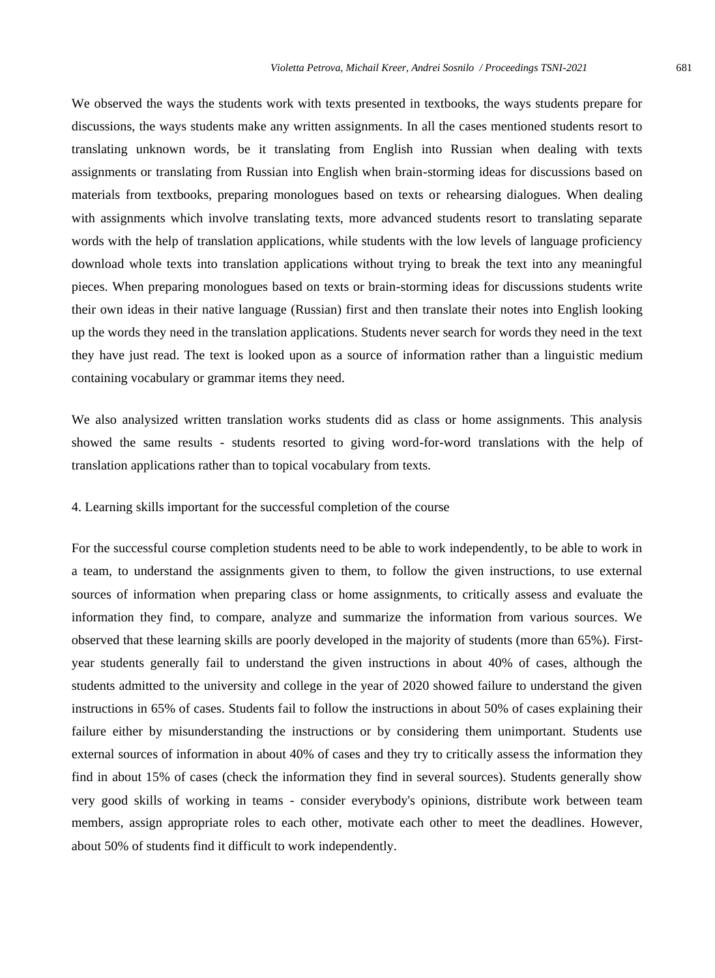We observed the ways the students work with texts presented in textbooks, the ways students prepare for discussions, the ways students make any written assignments. In all the cases mentioned students resort to translating unknown words, be it translating from English into Russian when dealing with texts assignments or translating from Russian into English when brain-storming ideas for discussions based on materials from textbooks, preparing monologues based on texts or rehearsing dialogues. When dealing with assignments which involve translating texts, more advanced students resort to translating separate words with the help of translation applications, while students with the low levels of language proficiency download whole texts into translation applications without trying to break the text into any meaningful pieces. When preparing monologues based on texts or brain-storming ideas for discussions students write their own ideas in their native language (Russian) first and then translate their notes into English looking up the words they need in the translation applications. Students never search for words they need in the text they have just read. The text is looked upon as a source of information rather than a linguistic medium containing vocabulary or grammar items they need.

We also analysized written translation works students did as class or home assignments. This analysis showed the same results - students resorted to giving word-for-word translations with the help of translation applications rather than to topical vocabulary from texts.

#### 4. Learning skills important for the successful completion of the course

For the successful course completion students need to be able to work independently, to be able to work in a team, to understand the assignments given to them, to follow the given instructions, to use external sources of information when preparing class or home assignments, to critically assess and evaluate the information they find, to compare, analyze and summarize the information from various sources. We observed that these learning skills are poorly developed in the majority of students (more than 65%). Firstyear students generally fail to understand the given instructions in about 40% of cases, although the students admitted to the university and college in the year of 2020 showed failure to understand the given instructions in 65% of cases. Students fail to follow the instructions in about 50% of cases explaining their failure either by misunderstanding the instructions or by considering them unimportant. Students use external sources of information in about 40% of cases and they try to critically assess the information they find in about 15% of cases (check the information they find in several sources). Students generally show very good skills of working in teams - consider everybody's opinions, distribute work between team members, assign appropriate roles to each other, motivate each other to meet the deadlines. However, about 50% of students find it difficult to work independently.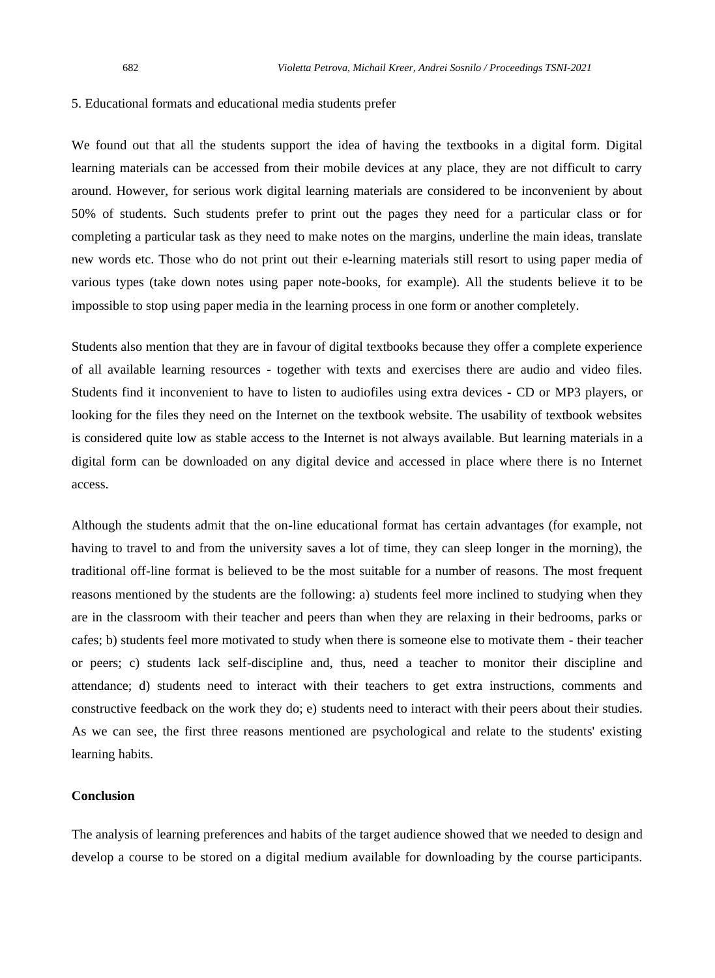#### 5. Educational formats and educational media students prefer

We found out that all the students support the idea of having the textbooks in a digital form. Digital learning materials can be accessed from their mobile devices at any place, they are not difficult to carry around. However, for serious work digital learning materials are considered to be inconvenient by about 50% of students. Such students prefer to print out the pages they need for a particular class or for completing a particular task as they need to make notes on the margins, underline the main ideas, translate new words etc. Those who do not print out their e-learning materials still resort to using paper media of various types (take down notes using paper note-books, for example). All the students believe it to be impossible to stop using paper media in the learning process in one form or another completely.

Students also mention that they are in favour of digital textbooks because they offer a complete experience of all available learning resources - together with texts and exercises there are audio and video files. Students find it inconvenient to have to listen to audiofiles using extra devices - CD or MP3 players, or looking for the files they need on the Internet on the textbook website. The usability of textbook websites is considered quite low as stable access to the Internet is not always available. But learning materials in a digital form can be downloaded on any digital device and accessed in place where there is no Internet access.

Although the students admit that the on-line educational format has certain advantages (for example, not having to travel to and from the university saves a lot of time, they can sleep longer in the morning), the traditional off-line format is believed to be the most suitable for a number of reasons. The most frequent reasons mentioned by the students are the following: a) students feel more inclined to studying when they are in the classroom with their teacher and peers than when they are relaxing in their bedrooms, parks or cafes; b) students feel more motivated to study when there is someone else to motivate them - their teacher or peers; c) students lack self-discipline and, thus, need a teacher to monitor their discipline and attendance; d) students need to interact with their teachers to get extra instructions, comments and constructive feedback on the work they do; e) students need to interact with their peers about their studies. As we can see, the first three reasons mentioned are psychological and relate to the students' existing learning habits.

#### **Conclusion**

The analysis of learning preferences and habits of the target audience showed that we needed to design and develop a course to be stored on a digital medium available for downloading by the course participants.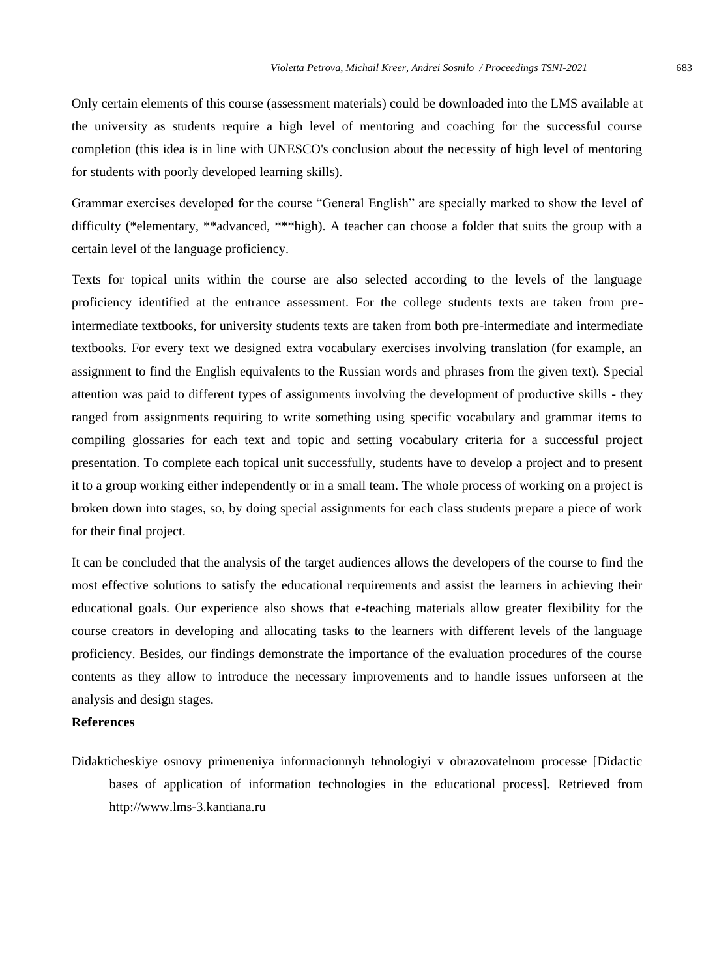Only certain elements of this course (assessment materials) could be downloaded into the LMS available at the university as students require a high level of mentoring and coaching for the successful course completion (this idea is in line with UNESCO's conclusion about the necessity of high level of mentoring for students with poorly developed learning skills).

Grammar exercises developed for the course "General English" are specially marked to show the level of difficulty (\*elementary, \*\*advanced, \*\*\*high). A teacher can choose a folder that suits the group with a certain level of the language proficiency.

Texts for topical units within the course are also selected according to the levels of the language proficiency identified at the entrance assessment. For the college students texts are taken from preintermediate textbooks, for university students texts are taken from both pre-intermediate and intermediate textbooks. For every text we designed extra vocabulary exercises involving translation (for example, an assignment to find the English equivalents to the Russian words and phrases from the given text). Special attention was paid to different types of assignments involving the development of productive skills - they ranged from assignments requiring to write something using specific vocabulary and grammar items to compiling glossaries for each text and topic and setting vocabulary criteria for a successful project presentation. To complete each topical unit successfully, students have to develop a project and to present it to a group working either independently or in a small team. The whole process of working on a project is broken down into stages, so, by doing special assignments for each class students prepare a piece of work for their final project.

It can be concluded that the analysis of the target audiences allows the developers of the course to find the most effective solutions to satisfy the educational requirements and assist the learners in achieving their educational goals. Our experience also shows that e-teaching materials allow greater flexibility for the course creators in developing and allocating tasks to the learners with different levels of the language proficiency. Besides, our findings demonstrate the importance of the evaluation procedures of the course contents as they allow to introduce the necessary improvements and to handle issues unforseen at the analysis and design stages.

#### **References**

Didakticheskiye osnovy primeneniya informacionnyh tehnologiyi v obrazovatelnom processe [Didactic bases of application of information technologies in the educational process]. Retrieved from [http://www.lms-3.kantiana.ru](http://www.lms-3.kantana.ru/)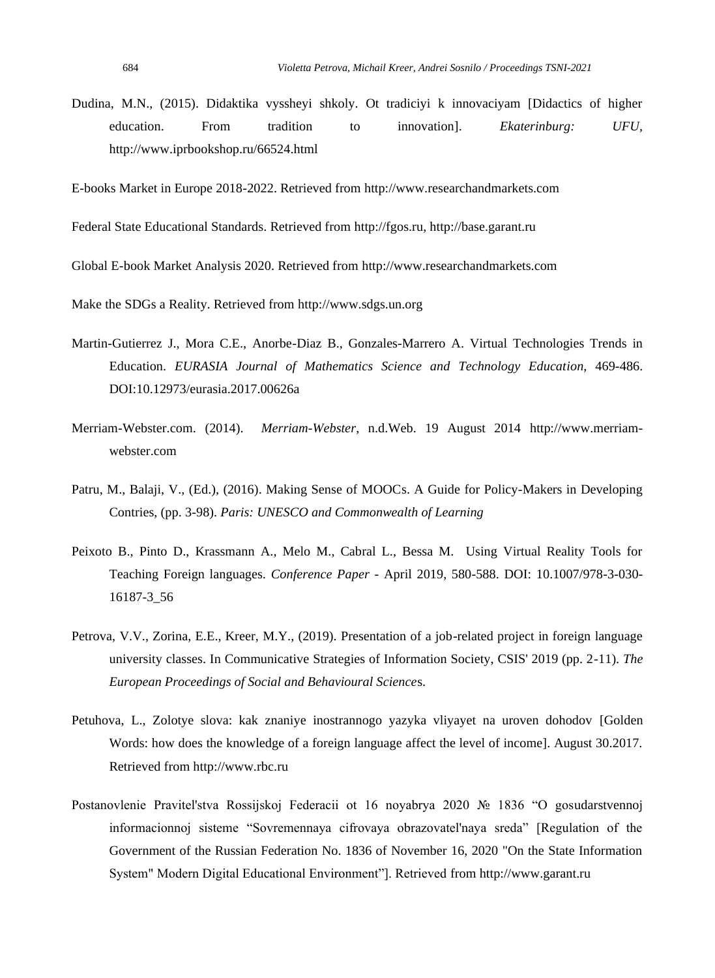Dudina, M.N., (2015). Didaktika vyssheyi shkoly. Ot tradiciyi k innovaciyam [Didactics of higher education. From tradition to innovation]. *Ekaterinburg: UFU,*  <http://www.iprbookshop.ru/66524.html>

E-books Market in Europe 2018-2022. Retrieved fro[m http://www.researchandmarkets.com](http://www.researchandmarkets.com/)

Federal State Educational Standards. Retrieved from [http://fgos.ru,](http://fgos.ru/) [http://base.garant.ru](http://base.garant.ru/)

Global E-book Market Analysis 2020. Retrieved from [http://www.researchandmarkets.com](http://www.researchandmarkets.com/)

Make the SDGs a Reality. Retrieved from [http://www.sdgs.un.org](http://www.sdgs.un.org/)

- Martin-Gutierrez J., Mora C.E., Anorbe-Diaz B., Gonzales-Marrero A. Virtual Technologies Trends in Education. *EURASIA Journal of Mathematics Science and Technology Education*, 469-486. DOI:10.12973/eurasia.2017.00626a
- Merriam-Webster.com. (2014). *Merriam-Webster*, n.d.Web. 19 August 2014 [http://www.merriam](http://www.merriam-webster.com/)[webster.com](http://www.merriam-webster.com/)
- Patru, M., Balaji, V., (Ed.), (2016). Making Sense of MOOCs. A Guide for Policy-Makers in Developing Contries, (pp. 3-98). *Paris: UNESCO and Commonwealth of Learning*
- Peixoto B., Pinto D., Krassmann A., Melo M., Cabral L., Bessa M. Using Virtual Reality Tools for Teaching Foreign languages. *Conference Paper* - April 2019, 580-588. DOI: 10.1007/978-3-030- 16187-3\_56
- Petrova, V.V., Zorina, E.E., Kreer, M.Y., (2019). Presentation of a job-related project in foreign language university classes. In Communicative Strategies of Information Society, CSIS' 2019 (pp. 2-11). *The European Proceedings of Social and Behavioural Science*s.
- Petuhova, L., Zolotye slova: kak znaniye inostrannogo yazyka vliyayet na uroven dohodov [Golden Words: how does the knowledge of a foreign language affect the level of income]. August 30.2017. Retrieved fro[m http://www.rbc.ru](http://www.rbc.ru/)
- Postanovlenie Pravitel'stva Rossijskoj Federacii ot 16 noyabrya 2020 № 1836 "O gosudarstvennoj informacionnoj sisteme "Sovremennaya cifrovaya obrazovatel'naya sreda" [Regulation of the Government of the Russian Federation No. 1836 of November 16, 2020 "On the State Information System" Modern Digital Educational Environment"]. Retrieved from http://www.garant.ru